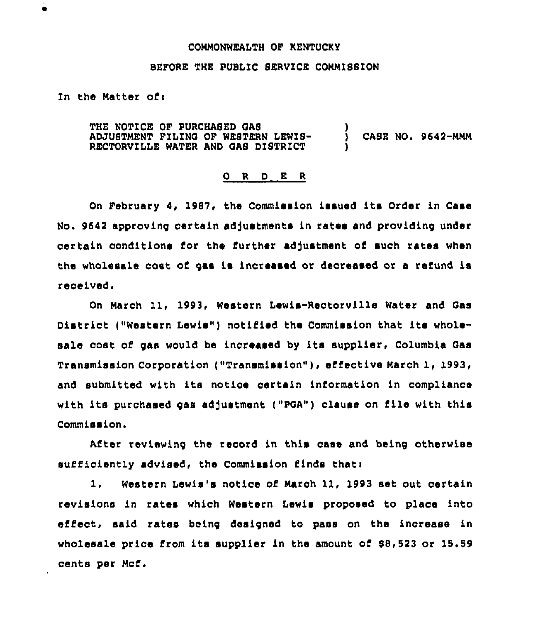#### COMMONWEALTH OF KENTUCKY

#### BEFORE THE PUBLIC SERVICE COMMISSION

# In the Matter of:

THE NOTICE OF PURCHASED OAS ADJUSTMENT FILING OF WESTERN LEWIS-RECTORVILLE WATER AND GAS DISTRICT ) ) CASE NO. 9642-MMM )

#### 0 <sup>R</sup> <sup>D</sup> E <sup>R</sup>

On February 4, 1987, the Commission issued its Order in Case No. 9642 approving certain adjustments in rates and providing under certain conditions for the further adjustment of such rates when the wholesale cost of gas is increased or decreased or a refund is received.

On March ll, 1993, Western Lewis-Rectorville Water and Gas District ("Western Lewis") notified the Commission that its wholesale cost of gas would be increased by its supplier, Columbia Gas Transmission Corporation ("Transmission"), effective March 1, 1993, and submitted with its notice certain information in compliance with its purchased gas adjustment ("POA") clause on file with this Commission.

After reviewing the reoord in this case and being otherwise sufficiently advised, the Commission finds thati

1. Western Lewis's notice of March ll, 1993 set out certain revisions in rates which Western Lewis proposed to place into eifect, said rates being designed to pass on the increase in wholesale price from its supplier in the amount of  $$8,523$  or 15.59 cents per Mcf.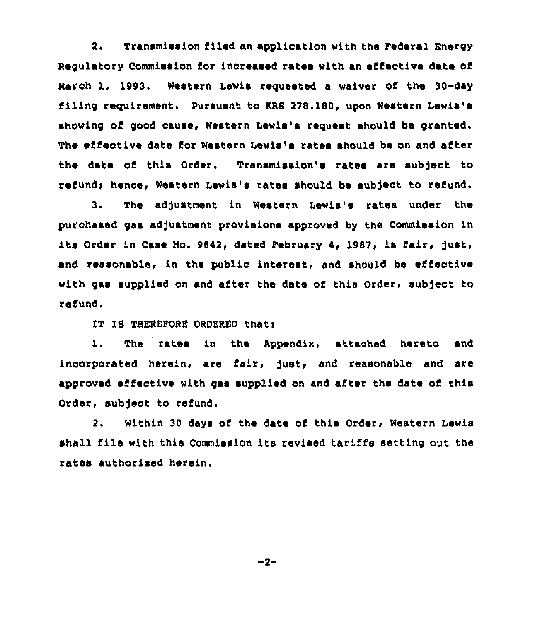2. Transmission filed an application with the Federal Energy Regulatory Commission for increased rates with an effective date of March 1, 1993. Western Lewis requested a waiver of the 30-day filing requirement. pursuant to KRS 278.180, upon Western Lewis's showing of good cause, Western Lewis's request should be granted. The effective date for Western Lewis's rates should be on and after the date of this Order. Transmission's rates are sub)ect to refund; hence, Western Lewis's rates should be subject to refund.

3. The adjustment in Western Lewis's rates under the purchased gas adjustment provisions approved by the Commission in its Order in Case No. 9642, dated February 4, 1987, is fair, just, and reasonable, in the public interest, and should be effective with gas supplied on and after the date of this Order, subject to refund,

IT IS THEREFORE ORDERED that:

1. The rates in the Appendix, attached hereto and incorporated herein, are fair, fust, and reasonable and are approved effective with gas supplied on and after the date of this Order, subject to refund.

2. Within 30 days of the date of this Order, Western Lewis shall file with this Commission its revised tariffs setting out the rates authorised herein.

 $-2-$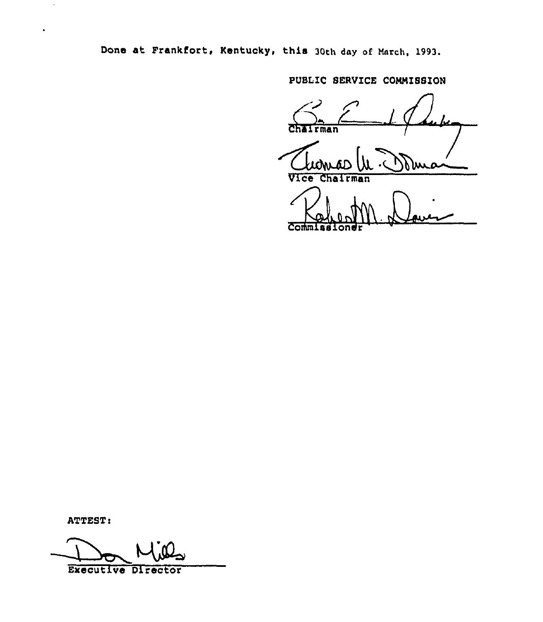Done at Frankfort, Kentucky, this 30th day of March, 1993.

PUBLIC SERVICE CONNISSION

l Chairman Vice Cha  $\overline{r}$ man Commission

ATTEST:

Executive Director